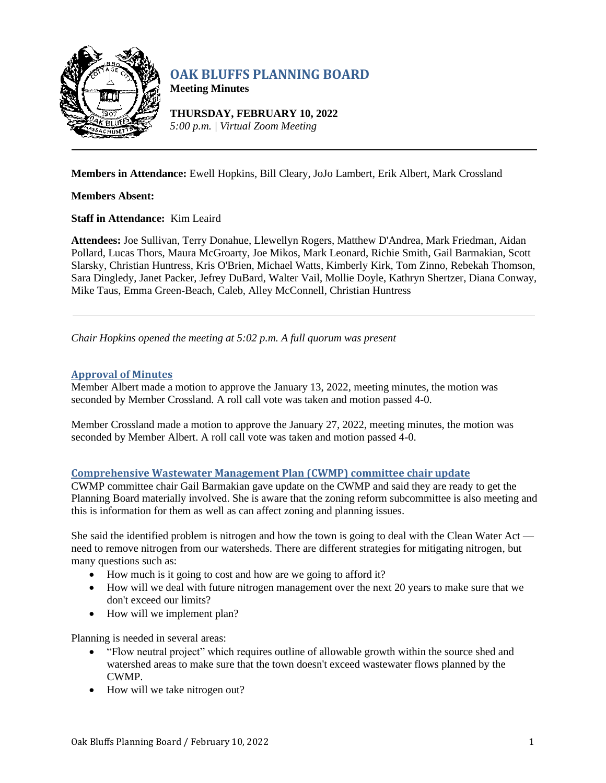

# **OAK BLUFFS PLANNING BOARD**

**Meeting Minutes**

**THURSDAY, FEBRUARY 10, 2022** *5:00 p.m. | Virtual Zoom Meeting*

**Members in Attendance:** Ewell Hopkins, Bill Cleary, JoJo Lambert, Erik Albert, Mark Crossland

**Members Absent:**

**Staff in Attendance:** Kim Leaird

**Attendees:** Joe Sullivan, Terry Donahue, Llewellyn Rogers, Matthew D'Andrea, Mark Friedman, Aidan Pollard, Lucas Thors, Maura McGroarty, Joe Mikos, Mark Leonard, Richie Smith, Gail Barmakian, Scott Slarsky, Christian Huntress, Kris O'Brien, Michael Watts, Kimberly Kirk, Tom Zinno, Rebekah Thomson, Sara Dingledy, Janet Packer, Jefrey DuBard, Walter Vail, Mollie Doyle, Kathryn Shertzer, Diana Conway, Mike Taus, Emma Green-Beach, Caleb, Alley McConnell, Christian Huntress

*Chair Hopkins opened the meeting at 5:02 p.m. A full quorum was present*

# **Approval of Minutes**

Member Albert made a motion to approve the January 13, 2022, meeting minutes, the motion was seconded by Member Crossland. A roll call vote was taken and motion passed 4-0.

Member Crossland made a motion to approve the January 27, 2022, meeting minutes, the motion was seconded by Member Albert. A roll call vote was taken and motion passed 4-0.

# **Comprehensive Wastewater Management Plan (CWMP) committee chair update**

CWMP committee chair Gail Barmakian gave update on the CWMP and said they are ready to get the Planning Board materially involved. She is aware that the zoning reform subcommittee is also meeting and this is information for them as well as can affect zoning and planning issues.

She said the identified problem is nitrogen and how the town is going to deal with the Clean Water Act need to remove nitrogen from our watersheds. There are different strategies for mitigating nitrogen, but many questions such as:

- How much is it going to cost and how are we going to afford it?
- How will we deal with future nitrogen management over the next 20 years to make sure that we don't exceed our limits?
- How will we implement plan?

Planning is needed in several areas:

- "Flow neutral project" which requires outline of allowable growth within the source shed and watershed areas to make sure that the town doesn't exceed wastewater flows planned by the CWMP.
- How will we take nitrogen out?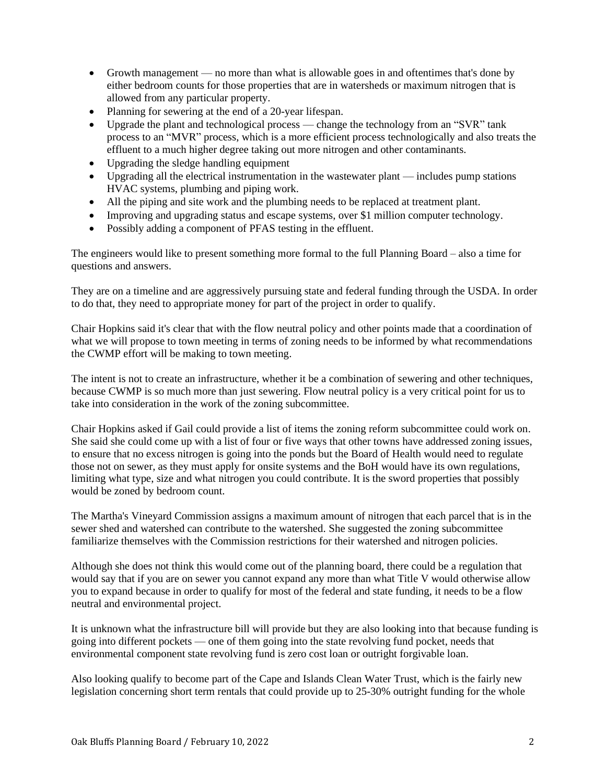- Growth management no more than what is allowable goes in and oftentimes that's done by either bedroom counts for those properties that are in watersheds or maximum nitrogen that is allowed from any particular property.
- Planning for sewering at the end of a 20-year lifespan.
- Upgrade the plant and technological process change the technology from an "SVR" tank process to an "MVR" process, which is a more efficient process technologically and also treats the effluent to a much higher degree taking out more nitrogen and other contaminants.
- Upgrading the sledge handling equipment
- Upgrading all the electrical instrumentation in the wastewater plant includes pump stations HVAC systems, plumbing and piping work.
- All the piping and site work and the plumbing needs to be replaced at treatment plant.
- Improving and upgrading status and escape systems, over \$1 million computer technology.
- Possibly adding a component of PFAS testing in the effluent.

The engineers would like to present something more formal to the full Planning Board – also a time for questions and answers.

They are on a timeline and are aggressively pursuing state and federal funding through the USDA. In order to do that, they need to appropriate money for part of the project in order to qualify.

Chair Hopkins said it's clear that with the flow neutral policy and other points made that a coordination of what we will propose to town meeting in terms of zoning needs to be informed by what recommendations the CWMP effort will be making to town meeting.

The intent is not to create an infrastructure, whether it be a combination of sewering and other techniques, because CWMP is so much more than just sewering. Flow neutral policy is a very critical point for us to take into consideration in the work of the zoning subcommittee.

Chair Hopkins asked if Gail could provide a list of items the zoning reform subcommittee could work on. She said she could come up with a list of four or five ways that other towns have addressed zoning issues, to ensure that no excess nitrogen is going into the ponds but the Board of Health would need to regulate those not on sewer, as they must apply for onsite systems and the BoH would have its own regulations, limiting what type, size and what nitrogen you could contribute. It is the sword properties that possibly would be zoned by bedroom count.

The Martha's Vineyard Commission assigns a maximum amount of nitrogen that each parcel that is in the sewer shed and watershed can contribute to the watershed. She suggested the zoning subcommittee familiarize themselves with the Commission restrictions for their watershed and nitrogen policies.

Although she does not think this would come out of the planning board, there could be a regulation that would say that if you are on sewer you cannot expand any more than what Title V would otherwise allow you to expand because in order to qualify for most of the federal and state funding, it needs to be a flow neutral and environmental project.

It is unknown what the infrastructure bill will provide but they are also looking into that because funding is going into different pockets — one of them going into the state revolving fund pocket, needs that environmental component state revolving fund is zero cost loan or outright forgivable loan.

Also looking qualify to become part of the Cape and Islands Clean Water Trust, which is the fairly new legislation concerning short term rentals that could provide up to 25-30% outright funding for the whole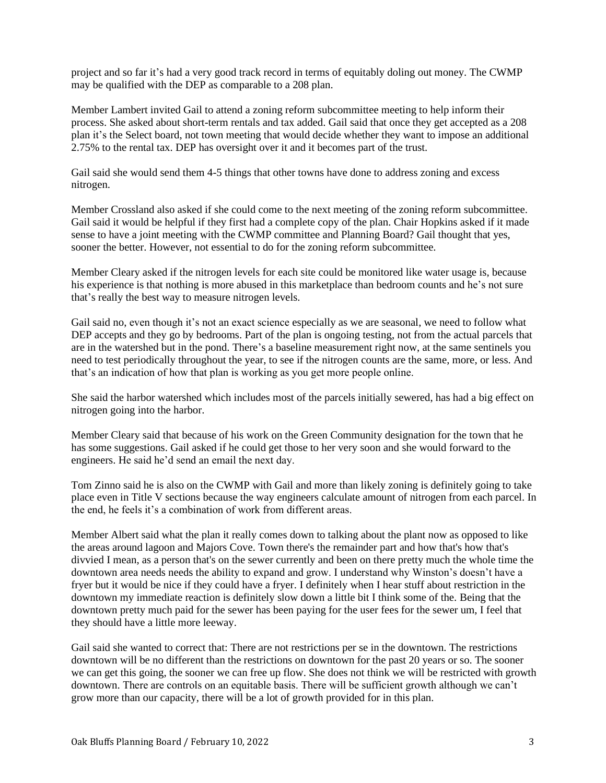project and so far it's had a very good track record in terms of equitably doling out money. The CWMP may be qualified with the DEP as comparable to a 208 plan.

Member Lambert invited Gail to attend a zoning reform subcommittee meeting to help inform their process. She asked about short-term rentals and tax added. Gail said that once they get accepted as a 208 plan it's the Select board, not town meeting that would decide whether they want to impose an additional 2.75% to the rental tax. DEP has oversight over it and it becomes part of the trust.

Gail said she would send them 4-5 things that other towns have done to address zoning and excess nitrogen.

Member Crossland also asked if she could come to the next meeting of the zoning reform subcommittee. Gail said it would be helpful if they first had a complete copy of the plan. Chair Hopkins asked if it made sense to have a joint meeting with the CWMP committee and Planning Board? Gail thought that yes, sooner the better. However, not essential to do for the zoning reform subcommittee.

Member Cleary asked if the nitrogen levels for each site could be monitored like water usage is, because his experience is that nothing is more abused in this marketplace than bedroom counts and he's not sure that's really the best way to measure nitrogen levels.

Gail said no, even though it's not an exact science especially as we are seasonal, we need to follow what DEP accepts and they go by bedrooms. Part of the plan is ongoing testing, not from the actual parcels that are in the watershed but in the pond. There's a baseline measurement right now, at the same sentinels you need to test periodically throughout the year, to see if the nitrogen counts are the same, more, or less. And that's an indication of how that plan is working as you get more people online.

She said the harbor watershed which includes most of the parcels initially sewered, has had a big effect on nitrogen going into the harbor.

Member Cleary said that because of his work on the Green Community designation for the town that he has some suggestions. Gail asked if he could get those to her very soon and she would forward to the engineers. He said he'd send an email the next day.

Tom Zinno said he is also on the CWMP with Gail and more than likely zoning is definitely going to take place even in Title V sections because the way engineers calculate amount of nitrogen from each parcel. In the end, he feels it's a combination of work from different areas.

Member Albert said what the plan it really comes down to talking about the plant now as opposed to like the areas around lagoon and Majors Cove. Town there's the remainder part and how that's how that's divvied I mean, as a person that's on the sewer currently and been on there pretty much the whole time the downtown area needs needs the ability to expand and grow. I understand why Winston's doesn't have a fryer but it would be nice if they could have a fryer. I definitely when I hear stuff about restriction in the downtown my immediate reaction is definitely slow down a little bit I think some of the. Being that the downtown pretty much paid for the sewer has been paying for the user fees for the sewer um, I feel that they should have a little more leeway.

Gail said she wanted to correct that: There are not restrictions per se in the downtown. The restrictions downtown will be no different than the restrictions on downtown for the past 20 years or so. The sooner we can get this going, the sooner we can free up flow. She does not think we will be restricted with growth downtown. There are controls on an equitable basis. There will be sufficient growth although we can't grow more than our capacity, there will be a lot of growth provided for in this plan.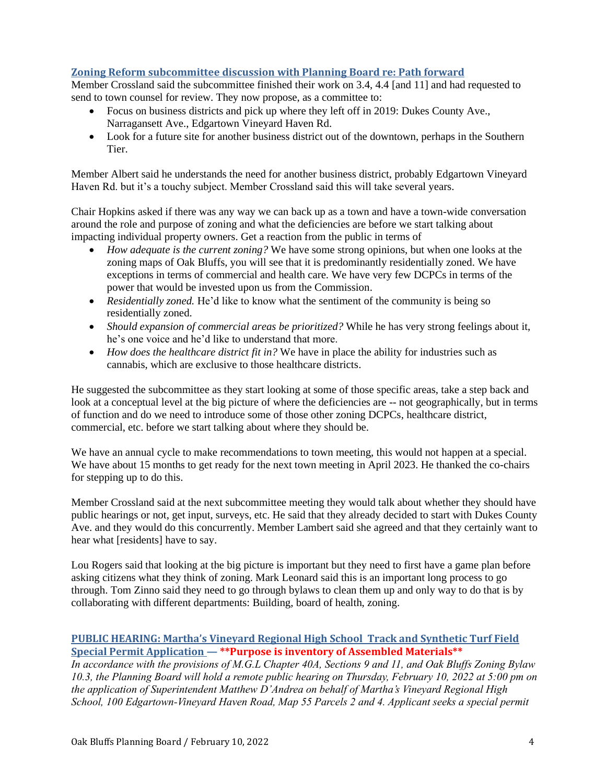# **Zoning Reform subcommittee discussion with Planning Board re: Path forward**

Member Crossland said the subcommittee finished their work on 3.4, 4.4 [and 11] and had requested to send to town counsel for review. They now propose, as a committee to:

- Focus on business districts and pick up where they left off in 2019: Dukes County Ave., Narragansett Ave., Edgartown Vineyard Haven Rd.
- Look for a future site for another business district out of the downtown, perhaps in the Southern Tier.

Member Albert said he understands the need for another business district, probably Edgartown Vineyard Haven Rd. but it's a touchy subject. Member Crossland said this will take several years.

Chair Hopkins asked if there was any way we can back up as a town and have a town-wide conversation around the role and purpose of zoning and what the deficiencies are before we start talking about impacting individual property owners. Get a reaction from the public in terms of

- *How adequate is the current zoning?* We have some strong opinions, but when one looks at the zoning maps of Oak Bluffs, you will see that it is predominantly residentially zoned. We have exceptions in terms of commercial and health care. We have very few DCPCs in terms of the power that would be invested upon us from the Commission.
- *Residentially zoned.* He'd like to know what the sentiment of the community is being so residentially zoned.
- *Should expansion of commercial areas be prioritized?* While he has very strong feelings about it, he's one voice and he'd like to understand that more.
- *How does the healthcare district fit in?* We have in place the ability for industries such as cannabis, which are exclusive to those healthcare districts.

He suggested the subcommittee as they start looking at some of those specific areas, take a step back and look at a conceptual level at the big picture of where the deficiencies are -- not geographically, but in terms of function and do we need to introduce some of those other zoning DCPCs, healthcare district, commercial, etc. before we start talking about where they should be.

We have an annual cycle to make recommendations to town meeting, this would not happen at a special. We have about 15 months to get ready for the next town meeting in April 2023. He thanked the co-chairs for stepping up to do this.

Member Crossland said at the next subcommittee meeting they would talk about whether they should have public hearings or not, get input, surveys, etc. He said that they already decided to start with Dukes County Ave. and they would do this concurrently. Member Lambert said she agreed and that they certainly want to hear what [residents] have to say.

Lou Rogers said that looking at the big picture is important but they need to first have a game plan before asking citizens what they think of zoning. Mark Leonard said this is an important long process to go through. Tom Zinno said they need to go through bylaws to clean them up and only way to do that is by collaborating with different departments: Building, board of health, zoning.

# **PUBLIC HEARING: Martha's Vineyard Regional High School Track and Synthetic Turf Field Special Permit Application — \*\*Purpose is inventory of Assembled Materials\*\***

*In accordance with the provisions of M.G.L Chapter 40A, Sections 9 and 11, and Oak Bluffs Zoning Bylaw 10.3, the Planning Board will hold a remote public hearing on Thursday, February 10, 2022 at 5:00 pm on the application of Superintendent Matthew D'Andrea on behalf of Martha's Vineyard Regional High School, 100 Edgartown-Vineyard Haven Road, Map 55 Parcels 2 and 4. Applicant seeks a special permit*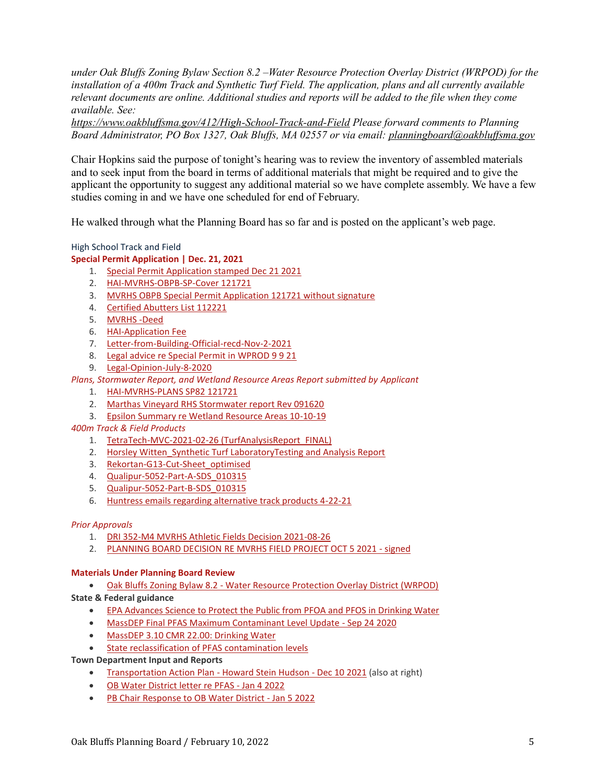*under Oak Bluffs Zoning Bylaw Section 8.2 –Water Resource Protection Overlay District (WRPOD) for the installation of a 400m Track and Synthetic Turf Field. The application, plans and all currently available relevant documents are online. Additional studies and reports will be added to the file when they come available. See:* 

*<https://www.oakbluffsma.gov/412/High-School-Track-and-Field> Please forward comments to Planning Board Administrator, PO Box 1327, Oak Bluffs, MA 02557 or via email: [planningboard@oakbluffsma.gov](mailto:planningboard@oakbluffsma.gov)*

Chair Hopkins said the purpose of tonight's hearing was to review the inventory of assembled materials and to seek input from the board in terms of additional materials that might be required and to give the applicant the opportunity to suggest any additional material so we have complete assembly. We have a few studies coming in and we have one scheduled for end of February.

He walked through what the Planning Board has so far and is posted on the applicant's web page.

High School Track and Field

## **Special Permit Application | Dec. 21, 2021**

- 1. [Special Permit Application stamped Dec 21 2021](https://www.oakbluffsma.gov/DocumentCenter/View/7486/Special-Permit-Application-stamped-Dec-21-2021)
- 2. [HAI-MVRHS-OBPB-SP-Cover 121721](https://www.oakbluffsma.gov/DocumentCenter/View/7423/HAI-MVRHS-OBPB-SP-Cover-121721)
- 3. [MVRHS OBPB Special Permit Application 121721 without signature](https://www.oakbluffsma.gov/DocumentCenter/View/7424/MVRHS-OBPB-Special-Permit-Application-121721-without-signature)
- 4. [Certified Abutters List 112221](https://www.oakbluffsma.gov/DocumentCenter/View/7426/Certified-Abutters-List-112221)
- 5. [MVRHS -Deed](https://www.oakbluffsma.gov/DocumentCenter/View/7425/MVRHS--Deed)
- 6. [HAI-Application Fee](https://www.oakbluffsma.gov/DocumentCenter/View/7422/HAI-Application-Fee)
- 7. [Letter-from-Building-Official-recd-Nov-2-2021](https://www.oakbluffsma.gov/DocumentCenter/View/7428/Letter-from-Building-Official-recd-Nov-2-2021)
- 8. [Legal advice re Special Permit in WPROD 9 9 21](https://www.oakbluffsma.gov/DocumentCenter/View/7438/Legal-advice-re-Special-Permit-in-WPROD-9-9-21)
- 9. [Legal-Opinion-July-8-2020](https://www.oakbluffsma.gov/DocumentCenter/View/7427/Legal-Opinion-July-8-2020)

*Plans, Stormwater Report, and Wetland Resource Areas Report submitted by Applicant*

- 1. [HAI-MVRHS-PLANS SP82 121721](https://www.oakbluffsma.gov/DocumentCenter/View/7430/HAI-MVRHS-PLANS-SP82-121721)
- 2. [Marthas Vineyard RHS Stormwater report Rev 091620](https://www.oakbluffsma.gov/DocumentCenter/View/7429/Marthas-Vineyard-RHS-Stormwater-report-Rev-091620)
- 3. [Epsilon Summary re Wetland Resource Areas 10-10-19](https://www.oakbluffsma.gov/DocumentCenter/View/7666/Epsilon-Summary-re-Wetland-Resource-Areas-10-10-19)

## *400m Track & Field Products*

- 1. [TetraTech-MVC-2021-02-26 \(TurfAnalysisReport\\_FINAL\)](https://www.oakbluffsma.gov/DocumentCenter/View/7435/TetraTech-MVC-2021-02-26-TurfAnalysisReport_FINAL)
- 2. Horsley Witten Synthetic Turf LaboratoryTesting and Analysis Report
- 3. [Rekortan-G13-Cut-Sheet\\_optimised](https://www.oakbluffsma.gov/DocumentCenter/View/7434/Rekortan-G13-Cut-Sheet_optimised)
- 4. [Qualipur-5052-Part-A-SDS\\_010315](https://www.oakbluffsma.gov/DocumentCenter/View/7432/Qualipur-5052-Part-A-SDS_010315)
- 5. [Qualipur-5052-Part-B-SDS\\_010315](https://www.oakbluffsma.gov/DocumentCenter/View/7433/Qualipur-5052-Part-B-SDS_010315)
- 6. [Huntress emails regarding alternative track products 4-22-21](https://www.oakbluffsma.gov/DocumentCenter/View/7431/Huntress-emails-regarding-alternative-track-products-4-22-21)

## *Prior Approvals*

- 1. [DRI 352-M4 MVRHS Athletic Fields Decision 2021-08-26](https://www.oakbluffsma.gov/DocumentCenter/View/7436/DRI-352-M4-MVRHS-Athletic-Fields-Decision-2021-08-26)
- 2. [PLANNING BOARD DECISION RE MVRHS FIELD PROJECT OCT 5 2021 -](https://www.oakbluffsma.gov/DocumentCenter/View/7437/PLANNING-BOARD-DECISION-RE-MVRHS-FIELD-PROJECT-OCT-5-2021---signed) signed

## **Materials Under Planning Board Review**

• Oak Bluffs Zoning Bylaw 8.2 - [Water Resource Protection Overlay District \(WRPOD\)](https://www.oakbluffsma.gov/DocumentCenter/View/7488/OB-ZBL-82-WRPOD)

**State & Federal guidance**

- [EPA Advances Science to Protect the Public from PFOA and PFOS in Drinking Water](https://www.oakbluffsma.gov/DocumentCenter/View/7481/EPA-Advances-Science-to-Protect-the-Public-from-PFOA-and-PFOS-in-Drinking-Water-_-US-EPA)
- [MassDEP Final PFAS Maximum Contaminant Level Update -](https://www.oakbluffsma.gov/DocumentCenter/View/7482/MassDEP-final-PFAS-MCL-Sep-24-2020) Sep 24 2020
- [MassDEP 3.10 CMR 22.00: Drinking Water](https://www.oakbluffsma.gov/DocumentCenter/View/7483/310-CMR-22-pfas-clean-drinking-water)
- **[State reclassification of PFAS contamination levels](https://www.mass.gov/doc/310-cmr-2200-the-massachusetts-drinking-water-regulations)**

## **Town Department Input and Reports**

- [Transportation Action Plan -](https://www.oakbluffsma.gov/DocumentCenter/View/7441/HSH_Oak-Bluffs-Edgartown-Vineyard-Haven-Rd-Corridor-Study_FINAL_2021-12-15) Howard Stein Hudson Dec 10 2021 (also at right)
- [OB Water District letter re PFAS -](https://www.oakbluffsma.gov/DocumentCenter/View/7530/OB-Water-District-letter-re-PFAS-Jan-4-2022) Jan 4 2022
- [PB Chair Response to OB Water District -](https://www.oakbluffsma.gov/DocumentCenter/View/7531/PB-chair-response-to-OB-Water-District---Jan-5-2022) Jan 5 2022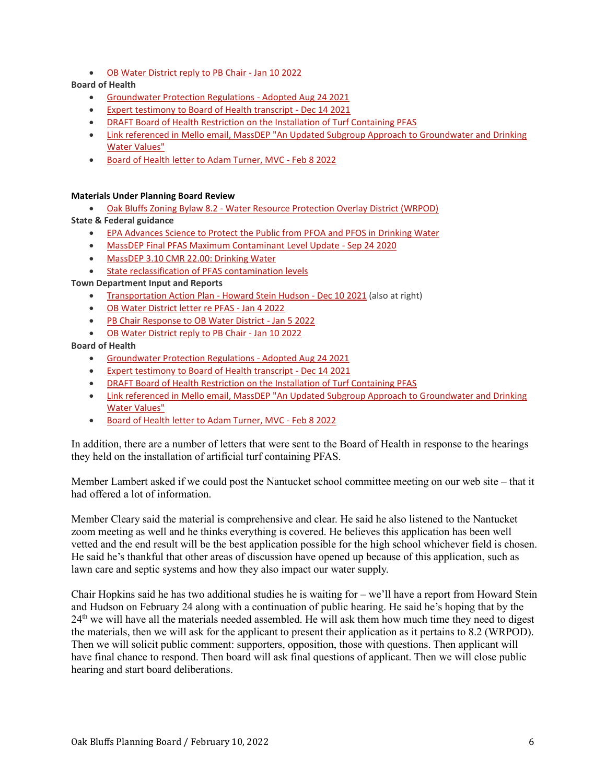• [OB Water District reply to PB Chair -](https://www.oakbluffsma.gov/DocumentCenter/View/7532/OB-Water-District-letter-2-Jan-10-2022) Jan 10 2022

**Board of Health**

- [Groundwater Protection Regulations -](https://www.oakbluffsma.gov/DocumentCenter/View/6758/Groundwater-Protection-Regulation) Adopted Aug 24 2021
- [Expert testimony to Board of Health transcript -](https://www.oakbluffsma.gov/DocumentCenter/View/7484/BOH-meeting-Dec-14-2021---Expert-testimony) Dec 14 2021
- [DRAFT Board of Health Restriction on the Installation of Turf Containing PFAS](https://www.oakbluffsma.gov/DocumentCenter/View/7477/Artificial-Turf-Aquifer-Model-Board-of-Health---DRAFT)
- Link referenced in Mello email, MassDEP "An Updated Subgroup Approach to Groundwater and Drinking [Water Values"](https://www.mass.gov/doc/per-and-polyfluoroalkyl-substances-pfas-an-updated-subgroup-approach-to-groundwater-and/download)
- [Board of Health letter to Adam Turner, MVC -](https://www.oakbluffsma.gov/DocumentCenter/View/7828/Board-of-Health-letter-to-MVC---Feb-8-2022) Feb 8 2022

#### **Materials Under Planning Board Review**

• Oak Bluffs Zoning Bylaw 8.2 - [Water Resource Protection Overlay District \(WRPOD\)](https://www.oakbluffsma.gov/DocumentCenter/View/7488/OB-ZBL-82-WRPOD)

- **State & Federal guidance**
	- [EPA Advances Science to Protect the Public from PFOA and PFOS in Drinking Water](https://www.oakbluffsma.gov/DocumentCenter/View/7481/EPA-Advances-Science-to-Protect-the-Public-from-PFOA-and-PFOS-in-Drinking-Water-_-US-EPA)
	- [MassDEP Final PFAS Maximum Contaminant Level Update -](https://www.oakbluffsma.gov/DocumentCenter/View/7482/MassDEP-final-PFAS-MCL-Sep-24-2020) Sep 24 2020
	- [MassDEP 3.10 CMR 22.00: Drinking Water](https://www.oakbluffsma.gov/DocumentCenter/View/7483/310-CMR-22-pfas-clean-drinking-water)
	- [State reclassification of PFAS contamination levels](https://www.mass.gov/doc/310-cmr-2200-the-massachusetts-drinking-water-regulations)

**Town Department Input and Reports**

- [Transportation Action Plan -](https://www.oakbluffsma.gov/DocumentCenter/View/7441/HSH_Oak-Bluffs-Edgartown-Vineyard-Haven-Rd-Corridor-Study_FINAL_2021-12-15) Howard Stein Hudson Dec 10 2021 (also at right)
- [OB Water District letter re PFAS -](https://www.oakbluffsma.gov/DocumentCenter/View/7530/OB-Water-District-letter-re-PFAS-Jan-4-2022) Jan 4 2022
- [PB Chair Response to OB Water District -](https://www.oakbluffsma.gov/DocumentCenter/View/7531/PB-chair-response-to-OB-Water-District---Jan-5-2022) Jan 5 2022
- [OB Water District reply to PB Chair -](https://www.oakbluffsma.gov/DocumentCenter/View/7532/OB-Water-District-letter-2-Jan-10-2022) Jan 10 2022

# **Board of Health**

- [Groundwater Protection Regulations -](https://www.oakbluffsma.gov/DocumentCenter/View/6758/Groundwater-Protection-Regulation) Adopted Aug 24 2021
- [Expert testimony to Board of Health transcript -](https://www.oakbluffsma.gov/DocumentCenter/View/7484/BOH-meeting-Dec-14-2021---Expert-testimony) Dec 14 2021
- [DRAFT Board of Health Restriction on the Installation of Turf Containing PFAS](https://www.oakbluffsma.gov/DocumentCenter/View/7477/Artificial-Turf-Aquifer-Model-Board-of-Health---DRAFT)
- Link referenced in Mello email, MassDEP "An Updated Subgroup Approach to Groundwater and Drinking [Water Values"](https://www.mass.gov/doc/per-and-polyfluoroalkyl-substances-pfas-an-updated-subgroup-approach-to-groundwater-and/download)
- [Board of Health letter to Adam Turner, MVC -](https://www.oakbluffsma.gov/DocumentCenter/View/7828/Board-of-Health-letter-to-MVC---Feb-8-2022) Feb 8 2022

In addition, there are a number of letters that were sent to the Board of Health in response to the hearings they held on the installation of artificial turf containing PFAS.

Member Lambert asked if we could post the Nantucket school committee meeting on our web site – that it had offered a lot of information.

Member Cleary said the material is comprehensive and clear. He said he also listened to the Nantucket zoom meeting as well and he thinks everything is covered. He believes this application has been well vetted and the end result will be the best application possible for the high school whichever field is chosen. He said he's thankful that other areas of discussion have opened up because of this application, such as lawn care and septic systems and how they also impact our water supply.

Chair Hopkins said he has two additional studies he is waiting for – we'll have a report from Howard Stein and Hudson on February 24 along with a continuation of public hearing. He said he's hoping that by the 24<sup>th</sup> we will have all the materials needed assembled. He will ask them how much time they need to digest the materials, then we will ask for the applicant to present their application as it pertains to 8.2 (WRPOD). Then we will solicit public comment: supporters, opposition, those with questions. Then applicant will have final chance to respond. Then board will ask final questions of applicant. Then we will close public hearing and start board deliberations.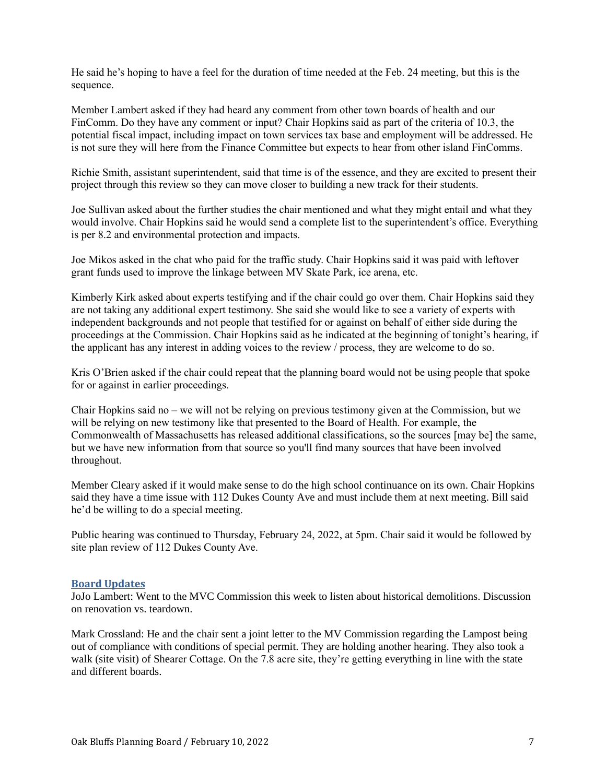He said he's hoping to have a feel for the duration of time needed at the Feb. 24 meeting, but this is the sequence.

Member Lambert asked if they had heard any comment from other town boards of health and our FinComm. Do they have any comment or input? Chair Hopkins said as part of the criteria of 10.3, the potential fiscal impact, including impact on town services tax base and employment will be addressed. He is not sure they will here from the Finance Committee but expects to hear from other island FinComms.

Richie Smith, assistant superintendent, said that time is of the essence, and they are excited to present their project through this review so they can move closer to building a new track for their students.

Joe Sullivan asked about the further studies the chair mentioned and what they might entail and what they would involve. Chair Hopkins said he would send a complete list to the superintendent's office. Everything is per 8.2 and environmental protection and impacts.

Joe Mikos asked in the chat who paid for the traffic study. Chair Hopkins said it was paid with leftover grant funds used to improve the linkage between MV Skate Park, ice arena, etc.

Kimberly Kirk asked about experts testifying and if the chair could go over them. Chair Hopkins said they are not taking any additional expert testimony. She said she would like to see a variety of experts with independent backgrounds and not people that testified for or against on behalf of either side during the proceedings at the Commission. Chair Hopkins said as he indicated at the beginning of tonight's hearing, if the applicant has any interest in adding voices to the review / process, they are welcome to do so.

Kris O'Brien asked if the chair could repeat that the planning board would not be using people that spoke for or against in earlier proceedings.

Chair Hopkins said no – we will not be relying on previous testimony given at the Commission, but we will be relying on new testimony like that presented to the Board of Health. For example, the Commonwealth of Massachusetts has released additional classifications, so the sources [may be] the same, but we have new information from that source so you'll find many sources that have been involved throughout.

Member Cleary asked if it would make sense to do the high school continuance on its own. Chair Hopkins said they have a time issue with 112 Dukes County Ave and must include them at next meeting. Bill said he'd be willing to do a special meeting.

Public hearing was continued to Thursday, February 24, 2022, at 5pm. Chair said it would be followed by site plan review of 112 Dukes County Ave.

## **Board Updates**

JoJo Lambert: Went to the MVC Commission this week to listen about historical demolitions. Discussion on renovation vs. teardown.

Mark Crossland: He and the chair sent a joint letter to the MV Commission regarding the Lampost being out of compliance with conditions of special permit. They are holding another hearing. They also took a walk (site visit) of Shearer Cottage. On the 7.8 acre site, they're getting everything in line with the state and different boards.